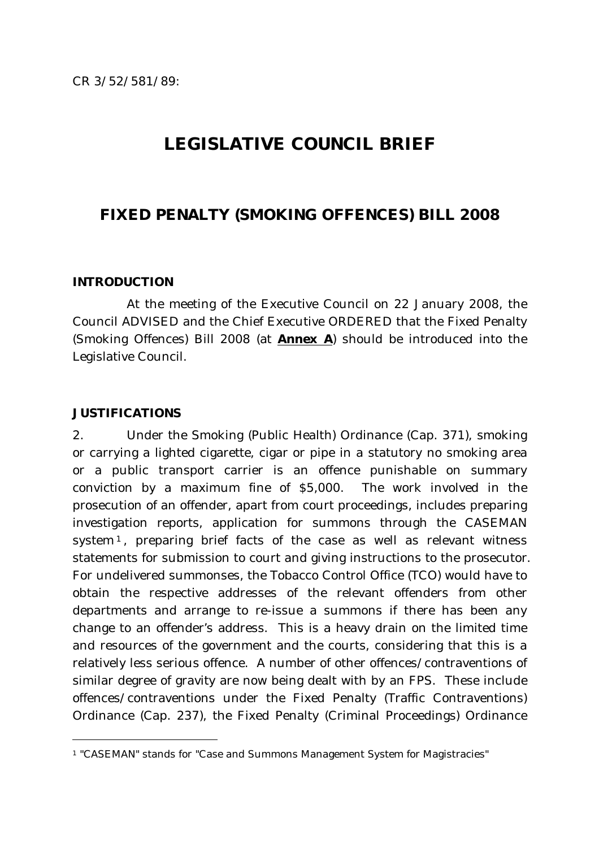# **LEGISLATIVE COUNCIL BRIEF**

# **FIXED PENALTY (SMOKING OFFENCES) BILL 2008**

#### **INTRODUCTION**

At the meeting of the Executive Council on 22 January 2008, the Council ADVISED and the Chief Executive ORDERED that the Fixed Penalty (Smoking Offences) Bill 2008 (at *Annex A*) should be introduced into the Legislative Council.

#### **JUSTIFICATIONS**

 $\overline{a}$ 

2. Under the Smoking (Public Health) Ordinance (Cap. 371), smoking or carrying a lighted cigarette, cigar or pipe in a statutory no smoking area or a public transport carrier is an offence punishable on summary conviction by a maximum fine of \$5,000. The work involved in the prosecution of an offender, apart from court proceedings, includes preparing investigation reports, application for summons through the CASEMAN system<sup>[1](#page-0-0)</sup>, preparing brief facts of the case as well as relevant witness statements for submission to court and giving instructions to the prosecutor. For undelivered summonses, the Tobacco Control Office (TCO) would have to obtain the respective addresses of the relevant offenders from other departments and arrange to re-issue a summons if there has been any change to an offender's address. This is a heavy drain on the limited time and resources of the government and the courts, considering that this is a relatively less serious offence. A number of other offences/contraventions of similar degree of gravity are now being dealt with by an FPS. These include offences/contraventions under the Fixed Penalty (Traffic Contraventions) Ordinance (Cap. 237), the Fixed Penalty (Criminal Proceedings) Ordinance

<span id="page-0-0"></span><sup>1 &</sup>quot;CASEMAN" stands for "Case and Summons Management System for Magistracies"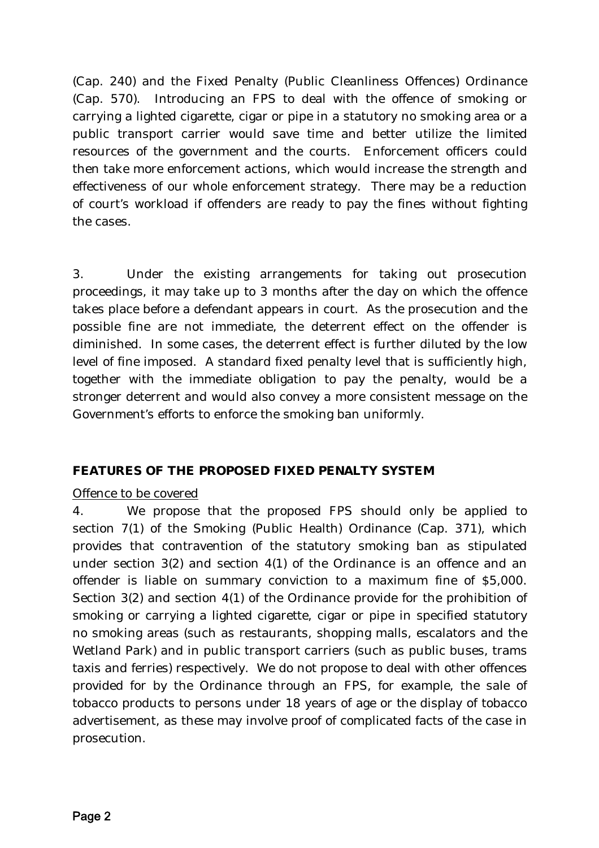(Cap. 240) and the Fixed Penalty (Public Cleanliness Offences) Ordinance (Cap. 570). Introducing an FPS to deal with the offence of smoking or carrying a lighted cigarette, cigar or pipe in a statutory no smoking area or a public transport carrier would save time and better utilize the limited resources of the government and the courts. Enforcement officers could then take more enforcement actions, which would increase the strength and effectiveness of our whole enforcement strategy. There may be a reduction of court's workload if offenders are ready to pay the fines without fighting the cases.

3. Under the existing arrangements for taking out prosecution proceedings, it may take up to 3 months after the day on which the offence takes place before a defendant appears in court. As the prosecution and the possible fine are not immediate, the deterrent effect on the offender is diminished. In some cases, the deterrent effect is further diluted by the low level of fine imposed. A standard fixed penalty level that is sufficiently high, together with the immediate obligation to pay the penalty, would be a stronger deterrent and would also convey a more consistent message on the Government's efforts to enforce the smoking ban uniformly.

### **FEATURES OF THE PROPOSED FIXED PENALTY SYSTEM**

### Offence to be covered

4. We propose that the proposed FPS should only be applied to section 7(1) of the Smoking (Public Health) Ordinance (Cap. 371), which provides that contravention of the statutory smoking ban as stipulated under section 3(2) and section 4(1) of the Ordinance is an offence and an offender is liable on summary conviction to a maximum fine of \$5,000. Section 3(2) and section 4(1) of the Ordinance provide for the prohibition of smoking or carrying a lighted cigarette, cigar or pipe in specified statutory no smoking areas (such as restaurants, shopping malls, escalators and the Wetland Park) and in public transport carriers (such as public buses, trams taxis and ferries) respectively. We do not propose to deal with other offences provided for by the Ordinance through an FPS, for example, the sale of tobacco products to persons under 18 years of age or the display of tobacco advertisement, as these may involve proof of complicated facts of the case in prosecution.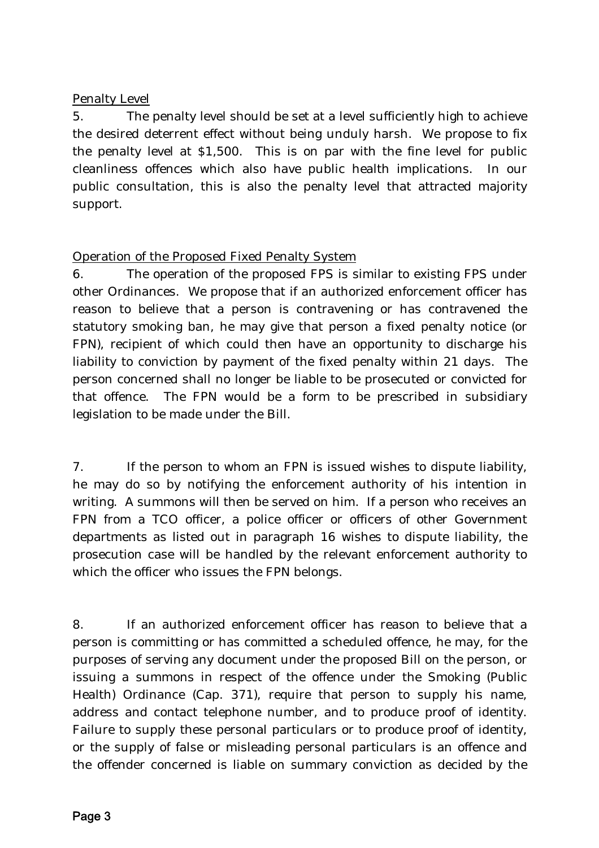# Penalty Level

5. The penalty level should be set at a level sufficiently high to achieve the desired deterrent effect without being unduly harsh. We propose to fix the penalty level at \$1,500. This is on par with the fine level for public cleanliness offences which also have public health implications. In our public consultation, this is also the penalty level that attracted majority support.

# Operation of the Proposed Fixed Penalty System

6. The operation of the proposed FPS is similar to existing FPS under other Ordinances. We propose that if an authorized enforcement officer has reason to believe that a person is contravening or has contravened the statutory smoking ban, he may give that person a fixed penalty notice (or FPN), recipient of which could then have an opportunity to discharge his liability to conviction by payment of the fixed penalty within 21 days. The person concerned shall no longer be liable to be prosecuted or convicted for that offence. The FPN would be a form to be prescribed in subsidiary legislation to be made under the Bill.

7. If the person to whom an FPN is issued wishes to dispute liability, he may do so by notifying the enforcement authority of his intention in writing. A summons will then be served on him. If a person who receives an FPN from a TCO officer, a police officer or officers of other Government departments as listed out in paragraph 16 wishes to dispute liability, the prosecution case will be handled by the relevant enforcement authority to which the officer who issues the FPN belongs.

8. If an authorized enforcement officer has reason to believe that a person is committing or has committed a scheduled offence, he may, for the purposes of serving any document under the proposed Bill on the person, or issuing a summons in respect of the offence under the Smoking (Public Health) Ordinance (Cap. 371), require that person to supply his name, address and contact telephone number, and to produce proof of identity. Failure to supply these personal particulars or to produce proof of identity, or the supply of false or misleading personal particulars is an offence and the offender concerned is liable on summary conviction as decided by the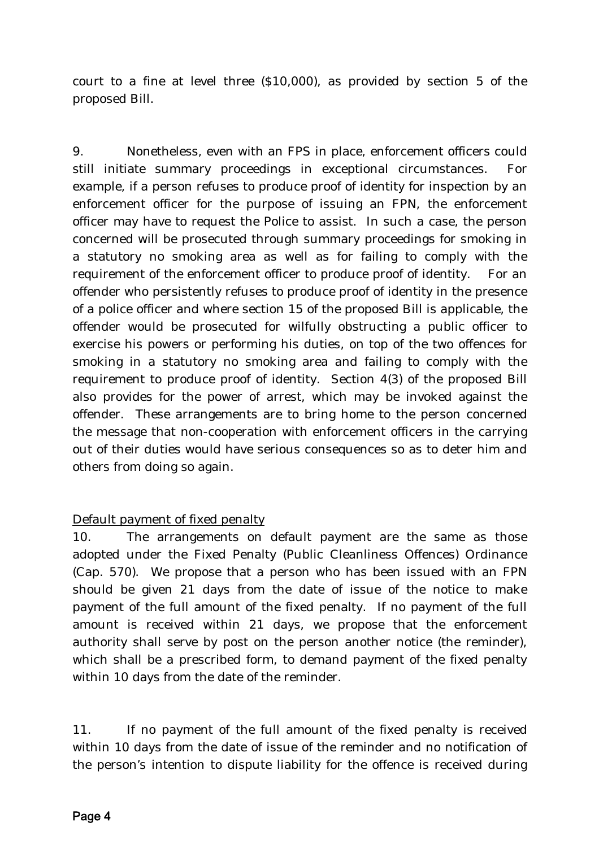court to a fine at level three (\$10,000), as provided by section 5 of the proposed Bill.

9. Nonetheless, even with an FPS in place, enforcement officers could still initiate summary proceedings in exceptional circumstances. For example, if a person refuses to produce proof of identity for inspection by an enforcement officer for the purpose of issuing an FPN, the enforcement officer may have to request the Police to assist. In such a case, the person concerned will be prosecuted through summary proceedings for smoking in a statutory no smoking area as well as for failing to comply with the requirement of the enforcement officer to produce proof of identity. For an offender who persistently refuses to produce proof of identity in the presence of a police officer and where section 15 of the proposed Bill is applicable, the offender would be prosecuted for wilfully obstructing a public officer to exercise his powers or performing his duties, on top of the two offences for smoking in a statutory no smoking area and failing to comply with the requirement to produce proof of identity. Section 4(3) of the proposed Bill also provides for the power of arrest, which may be invoked against the offender. These arrangements are to bring home to the person concerned the message that non-cooperation with enforcement officers in the carrying out of their duties would have serious consequences so as to deter him and others from doing so again.

# Default payment of fixed penalty

10. The arrangements on default payment are the same as those adopted under the Fixed Penalty (Public Cleanliness Offences) Ordinance (Cap. 570). We propose that a person who has been issued with an FPN should be given 21 days from the date of issue of the notice to make payment of the full amount of the fixed penalty. If no payment of the full amount is received within 21 days, we propose that the enforcement authority shall serve by post on the person another notice (the reminder), which shall be a prescribed form, to demand payment of the fixed penalty within 10 days from the date of the reminder.

11. If no payment of the full amount of the fixed penalty is received within 10 days from the date of issue of the reminder and no notification of the person's intention to dispute liability for the offence is received during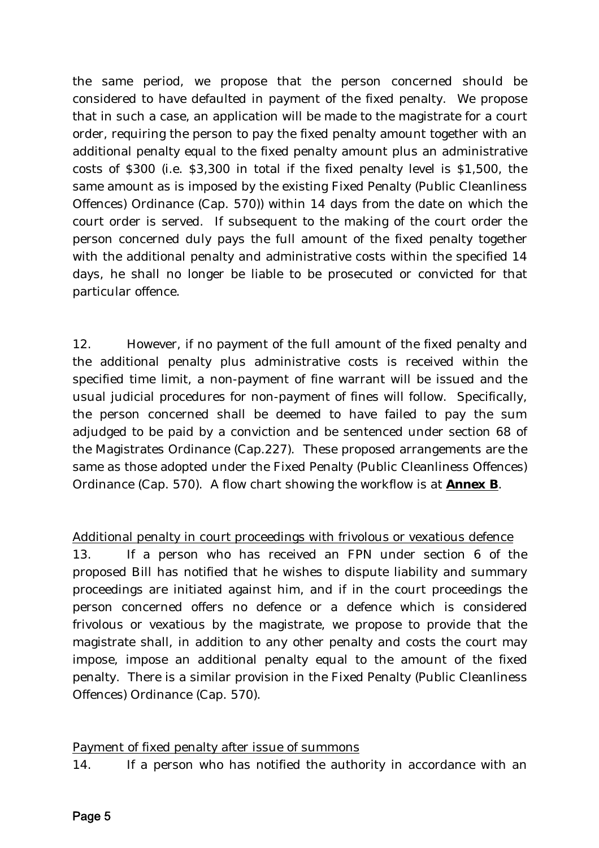the same period, we propose that the person concerned should be considered to have defaulted in payment of the fixed penalty. We propose that in such a case, an application will be made to the magistrate for a court order, requiring the person to pay the fixed penalty amount together with an additional penalty equal to the fixed penalty amount plus an administrative costs of \$300 (i.e. \$3,300 in total if the fixed penalty level is \$1,500, the same amount as is imposed by the existing Fixed Penalty (Public Cleanliness Offences) Ordinance (Cap. 570)) within 14 days from the date on which the court order is served. If subsequent to the making of the court order the person concerned duly pays the full amount of the fixed penalty together with the additional penalty and administrative costs within the specified 14 days, he shall no longer be liable to be prosecuted or convicted for that particular offence.

12. However, if no payment of the full amount of the fixed penalty and the additional penalty plus administrative costs is received within the specified time limit, a non-payment of fine warrant will be issued and the usual judicial procedures for non-payment of fines will follow. Specifically, the person concerned shall be deemed to have failed to pay the sum adjudged to be paid by a conviction and be sentenced under section 68 of the Magistrates Ordinance (Cap.227). These proposed arrangements are the same as those adopted under the Fixed Penalty (Public Cleanliness Offences) Ordinance (Cap. 570). A flow chart showing the workflow is at *Annex B*.

Additional penalty in court proceedings with frivolous or vexatious defence

13. If a person who has received an FPN under section 6 of the proposed Bill has notified that he wishes to dispute liability and summary proceedings are initiated against him, and if in the court proceedings the person concerned offers no defence or a defence which is considered frivolous or vexatious by the magistrate, we propose to provide that the magistrate shall, in addition to any other penalty and costs the court may impose, impose an additional penalty equal to the amount of the fixed penalty. There is a similar provision in the Fixed Penalty (Public Cleanliness Offences) Ordinance (Cap. 570).

### Payment of fixed penalty after issue of summons

14. If a person who has notified the authority in accordance with an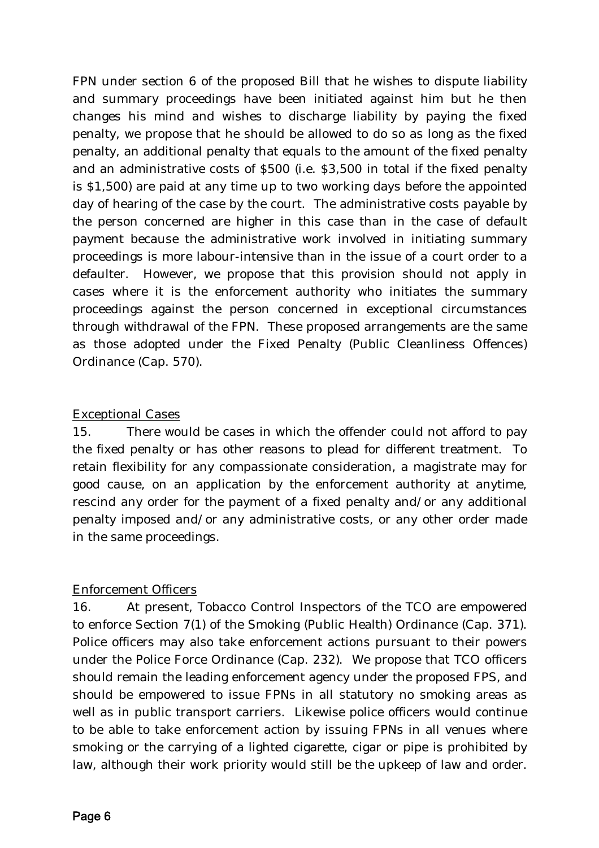FPN under section 6 of the proposed Bill that he wishes to dispute liability and summary proceedings have been initiated against him but he then changes his mind and wishes to discharge liability by paying the fixed penalty, we propose that he should be allowed to do so as long as the fixed penalty, an additional penalty that equals to the amount of the fixed penalty and an administrative costs of \$500 (i.e. \$3,500 in total if the fixed penalty is \$1,500) are paid at any time up to two working days before the appointed day of hearing of the case by the court. The administrative costs payable by the person concerned are higher in this case than in the case of default payment because the administrative work involved in initiating summary proceedings is more labour-intensive than in the issue of a court order to a defaulter. However, we propose that this provision should not apply in cases where it is the enforcement authority who initiates the summary proceedings against the person concerned in exceptional circumstances through withdrawal of the FPN. These proposed arrangements are the same as those adopted under the Fixed Penalty (Public Cleanliness Offences) Ordinance (Cap. 570).

# Exceptional Cases

15. There would be cases in which the offender could not afford to pay the fixed penalty or has other reasons to plead for different treatment. To retain flexibility for any compassionate consideration, a magistrate may for good cause, on an application by the enforcement authority at anytime, rescind any order for the payment of a fixed penalty and/or any additional penalty imposed and/or any administrative costs, or any other order made in the same proceedings.

### Enforcement Officers

16. At present, Tobacco Control Inspectors of the TCO are empowered to enforce Section 7(1) of the Smoking (Public Health) Ordinance (Cap. 371). Police officers may also take enforcement actions pursuant to their powers under the Police Force Ordinance (Cap. 232). We propose that TCO officers should remain the leading enforcement agency under the proposed FPS, and should be empowered to issue FPNs in all statutory no smoking areas as well as in public transport carriers. Likewise police officers would continue to be able to take enforcement action by issuing FPNs in all venues where smoking or the carrying of a lighted cigarette, cigar or pipe is prohibited by law, although their work priority would still be the upkeep of law and order.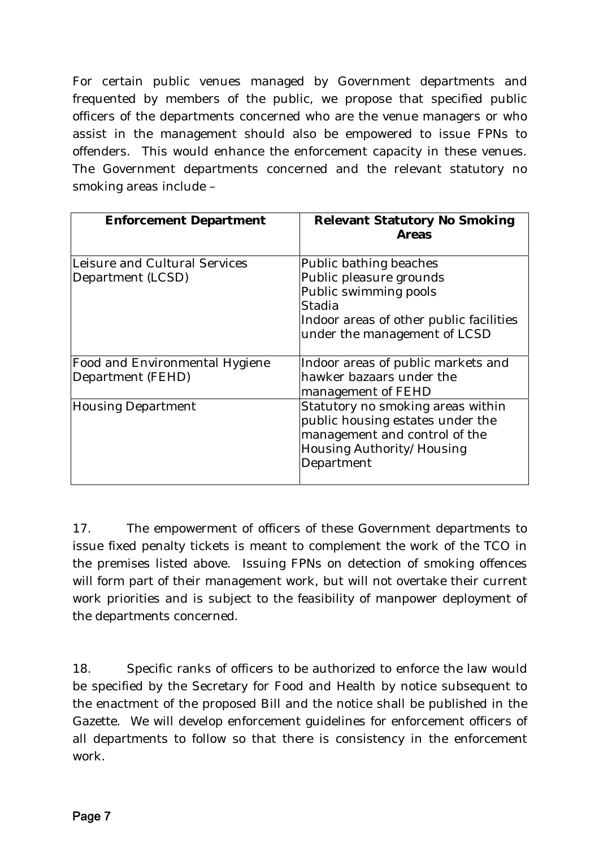For certain public venues managed by Government departments and frequented by members of the public, we propose that specified public officers of the departments concerned who are the venue managers or who assist in the management should also be empowered to issue FPNs to offenders. This would enhance the enforcement capacity in these venues. The Government departments concerned and the relevant statutory no smoking areas include –

| <b>Enforcement Department</b>                              | <b>Relevant Statutory No Smoking</b><br><b>Areas</b>                                                                                                            |
|------------------------------------------------------------|-----------------------------------------------------------------------------------------------------------------------------------------------------------------|
| Leisure and Cultural Services<br>Department (LCSD)         | Public bathing beaches<br>Public pleasure grounds<br>Public swimming pools<br>Stadia<br>Indoor areas of other public facilities<br>under the management of LCSD |
| <b>Food and Environmental Hygiene</b><br>Department (FEHD) | Indoor areas of public markets and<br>hawker bazaars under the<br>management of FEHD                                                                            |
| <b>Housing Department</b>                                  | Statutory no smoking areas within<br>public housing estates under the<br>management and control of the<br>Housing Authority/Housing<br>Department               |

17. The empowerment of officers of these Government departments to issue fixed penalty tickets is meant to complement the work of the TCO in the premises listed above. Issuing FPNs on detection of smoking offences will form part of their management work, but will not overtake their current work priorities and is subject to the feasibility of manpower deployment of the departments concerned.

18. Specific ranks of officers to be authorized to enforce the law would be specified by the Secretary for Food and Health by notice subsequent to the enactment of the proposed Bill and the notice shall be published in the Gazette. We will develop enforcement guidelines for enforcement officers of all departments to follow so that there is consistency in the enforcement work.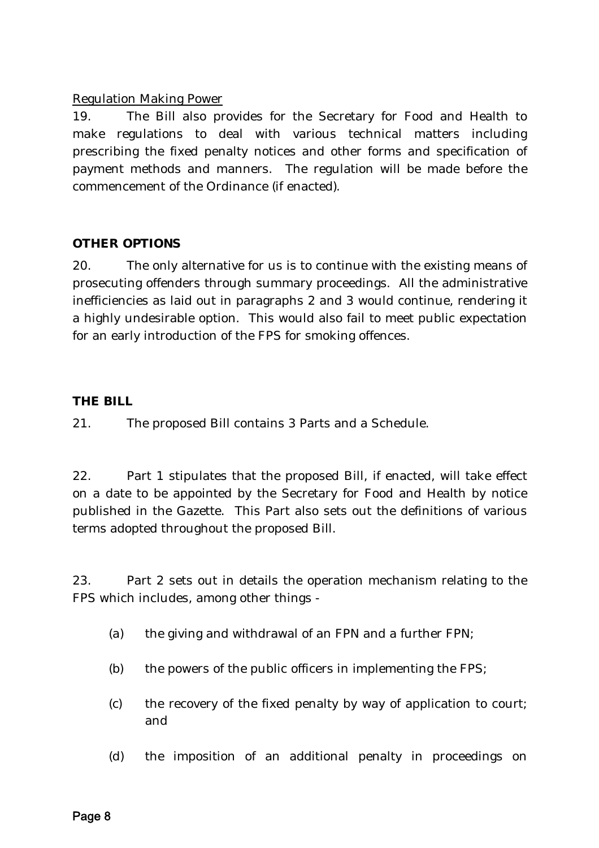### Regulation Making Power

19. The Bill also provides for the Secretary for Food and Health to make regulations to deal with various technical matters including prescribing the fixed penalty notices and other forms and specification of payment methods and manners. The regulation will be made before the commencement of the Ordinance (if enacted).

### **OTHER OPTIONS**

20. The only alternative for us is to continue with the existing means of prosecuting offenders through summary proceedings. All the administrative inefficiencies as laid out in paragraphs 2 and 3 would continue, rendering it a highly undesirable option. This would also fail to meet public expectation for an early introduction of the FPS for smoking offences.

### **THE BILL**

21. The proposed Bill contains 3 Parts and a Schedule.

22. Part 1 stipulates that the proposed Bill, if enacted, will take effect on a date to be appointed by the Secretary for Food and Health by notice published in the Gazette. This Part also sets out the definitions of various terms adopted throughout the proposed Bill.

23. Part 2 sets out in details the operation mechanism relating to the FPS which includes, among other things -

- (*a*) the giving and withdrawal of an FPN and a further FPN;
- (*b*) the powers of the public officers in implementing the FPS;
- (*c*) the recovery of the fixed penalty by way of application to court; and
- (*d*) the imposition of an additional penalty in proceedings on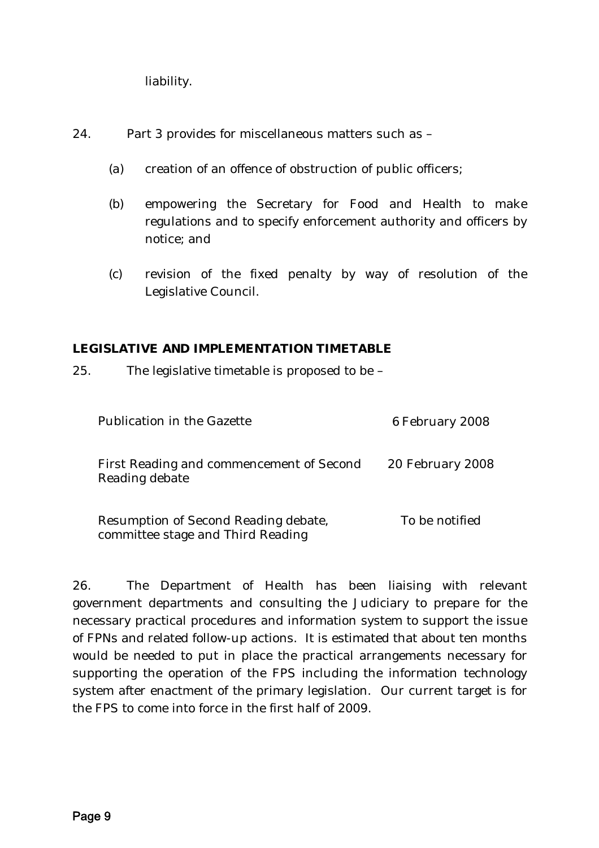liability.

24. Part 3 provides for miscellaneous matters such as –

- (*a*) creation of an offence of obstruction of public officers;
- (*b*) empowering the Secretary for Food and Health to make regulations and to specify enforcement authority and officers by notice; and
- (*c*) revision of the fixed penalty by way of resolution of the Legislative Council.

### **LEGISLATIVE AND IMPLEMENTATION TIMETABLE**

25. The legislative timetable is proposed to be –

| Publication in the Gazette                                                | 6 February 2008  |
|---------------------------------------------------------------------------|------------------|
| First Reading and commencement of Second<br>Reading debate                | 20 February 2008 |
| Resumption of Second Reading debate,<br>committee stage and Third Reading | To be notified   |

26. The Department of Health has been liaising with relevant government departments and consulting the Judiciary to prepare for the necessary practical procedures and information system to support the issue of FPNs and related follow-up actions. It is estimated that about ten months would be needed to put in place the practical arrangements necessary for supporting the operation of the FPS including the information technology system after enactment of the primary legislation. Our current target is for the FPS to come into force in the first half of 2009.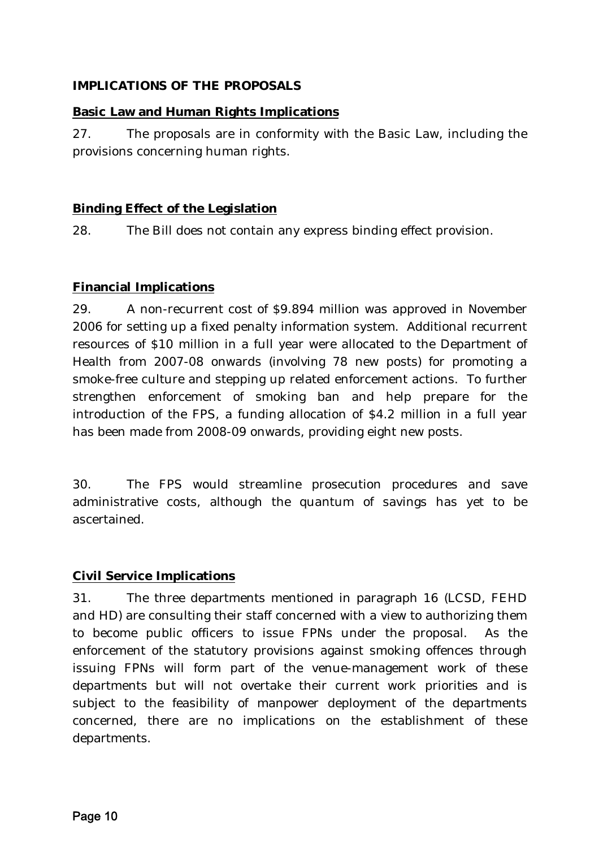## **IMPLICATIONS OF THE PROPOSALS**

## **Basic Law and Human Rights Implications**

27. The proposals are in conformity with the Basic Law, including the provisions concerning human rights.

# **Binding Effect of the Legislation**

28. The Bill does not contain any express binding effect provision.

# **Financial Implications**

29. A non-recurrent cost of \$9.894 million was approved in November 2006 for setting up a fixed penalty information system. Additional recurrent resources of \$10 million in a full year were allocated to the Department of Health from 2007-08 onwards (involving 78 new posts) for promoting a smoke-free culture and stepping up related enforcement actions. To further strengthen enforcement of smoking ban and help prepare for the introduction of the FPS, a funding allocation of \$4.2 million in a full year has been made from 2008-09 onwards, providing eight new posts.

30. The FPS would streamline prosecution procedures and save administrative costs, although the quantum of savings has yet to be ascertained.

### **Civil Service Implications**

31. The three departments mentioned in paragraph 16 (LCSD, FEHD and HD) are consulting their staff concerned with a view to authorizing them to become public officers to issue FPNs under the proposal. As the enforcement of the statutory provisions against smoking offences through issuing FPNs will form part of the venue-management work of these departments but will not overtake their current work priorities and is subject to the feasibility of manpower deployment of the departments concerned, there are no implications on the establishment of these departments.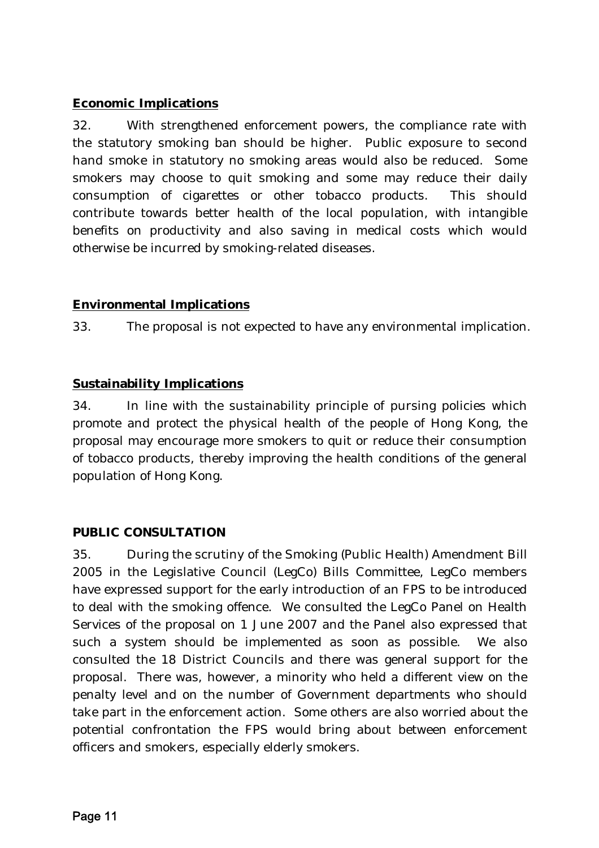# **Economic Implications**

32. With strengthened enforcement powers, the compliance rate with the statutory smoking ban should be higher. Public exposure to second hand smoke in statutory no smoking areas would also be reduced. Some smokers may choose to quit smoking and some may reduce their daily consumption of cigarettes or other tobacco products. This should contribute towards better health of the local population, with intangible benefits on productivity and also saving in medical costs which would otherwise be incurred by smoking-related diseases.

# **Environmental Implications**

33. The proposal is not expected to have any environmental implication.

### **Sustainability Implications**

34. In line with the sustainability principle of pursing policies which promote and protect the physical health of the people of Hong Kong, the proposal may encourage more smokers to quit or reduce their consumption of tobacco products, thereby improving the health conditions of the general population of Hong Kong.

### **PUBLIC CONSULTATION**

35. During the scrutiny of the Smoking (Public Health) Amendment Bill 2005 in the Legislative Council (LegCo) Bills Committee, LegCo members have expressed support for the early introduction of an FPS to be introduced to deal with the smoking offence. We consulted the LegCo Panel on Health Services of the proposal on 1 June 2007 and the Panel also expressed that such a system should be implemented as soon as possible. We also consulted the 18 District Councils and there was general support for the proposal. There was, however, a minority who held a different view on the penalty level and on the number of Government departments who should take part in the enforcement action. Some others are also worried about the potential confrontation the FPS would bring about between enforcement officers and smokers, especially elderly smokers.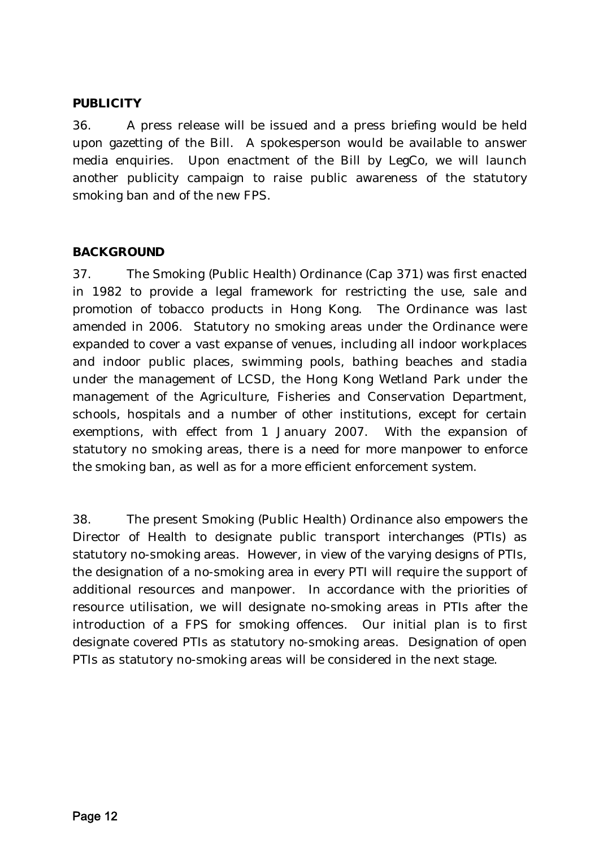### **PUBLICITY**

36. A press release will be issued and a press briefing would be held upon gazetting of the Bill. A spokesperson would be available to answer media enquiries. Upon enactment of the Bill by LegCo, we will launch another publicity campaign to raise public awareness of the statutory smoking ban and of the new FPS.

### **BACKGROUND**

37. The Smoking (Public Health) Ordinance (Cap 371) was first enacted in 1982 to provide a legal framework for restricting the use, sale and promotion of tobacco products in Hong Kong. The Ordinance was last amended in 2006. Statutory no smoking areas under the Ordinance were expanded to cover a vast expanse of venues, including all indoor workplaces and indoor public places, swimming pools, bathing beaches and stadia under the management of LCSD, the Hong Kong Wetland Park under the management of the Agriculture, Fisheries and Conservation Department, schools, hospitals and a number of other institutions, except for certain exemptions, with effect from 1 January 2007. With the expansion of statutory no smoking areas, there is a need for more manpower to enforce the smoking ban, as well as for a more efficient enforcement system.

38. The present Smoking (Public Health) Ordinance also empowers the Director of Health to designate public transport interchanges (PTIs) as statutory no-smoking areas. However, in view of the varying designs of PTIs, the designation of a no-smoking area in every PTI will require the support of additional resources and manpower. In accordance with the priorities of resource utilisation, we will designate no-smoking areas in PTIs after the introduction of a FPS for smoking offences. Our initial plan is to first designate covered PTIs as statutory no-smoking areas. Designation of open PTIs as statutory no-smoking areas will be considered in the next stage.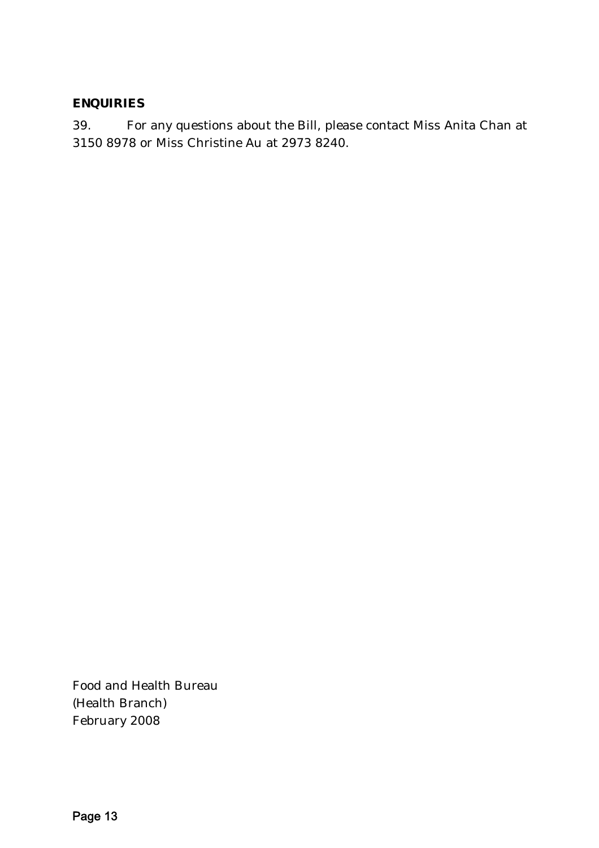## **ENQUIRIES**

39. For any questions about the Bill, please contact Miss Anita Chan at 3150 8978 or Miss Christine Au at 2973 8240.

Food and Health Bureau (Health Branch) February 2008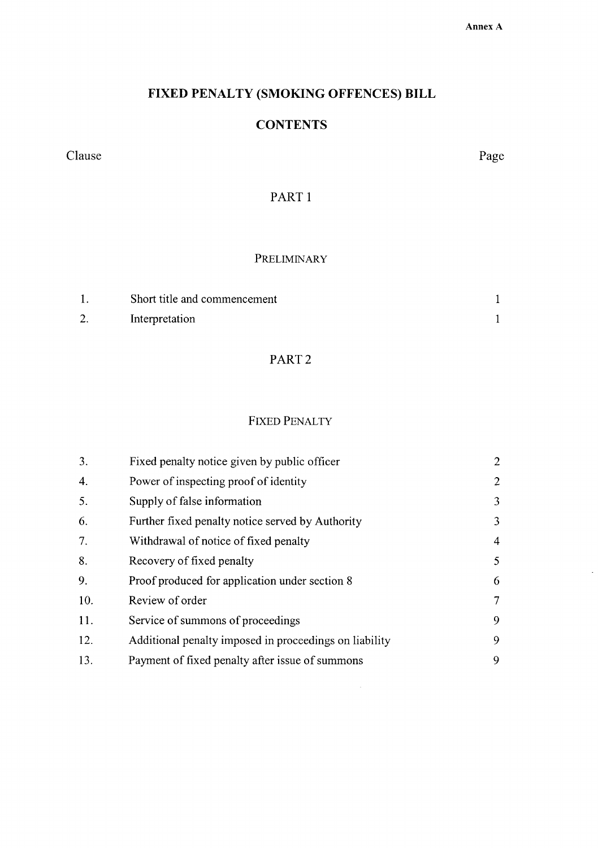#### Annex A

# FIXED PENALTY (SMOKING OFFENCES) BILL

# **CONTENTS**

Clause

Page

PART<sub>1</sub>

### PRELIMINARY

| Short title and commencement |  |
|------------------------------|--|
| Interpretation               |  |

# PART<sub>2</sub>

### **FIXED PENALTY**

| 3.  | Fixed penalty notice given by public officer           | $\overline{2}$ |
|-----|--------------------------------------------------------|----------------|
| 4.  | Power of inspecting proof of identity                  | $\overline{2}$ |
| 5.  | Supply of false information                            | 3              |
| 6.  | Further fixed penalty notice served by Authority       | 3              |
| 7.  | Withdrawal of notice of fixed penalty                  | 4              |
| 8.  | Recovery of fixed penalty                              | 5              |
| 9.  | Proof produced for application under section 8         | 6              |
| 10. | Review of order                                        | 7              |
| 11. | Service of summons of proceedings                      | 9              |
| 12. | Additional penalty imposed in proceedings on liability | 9              |
| 13. | Payment of fixed penalty after issue of summons        | 9              |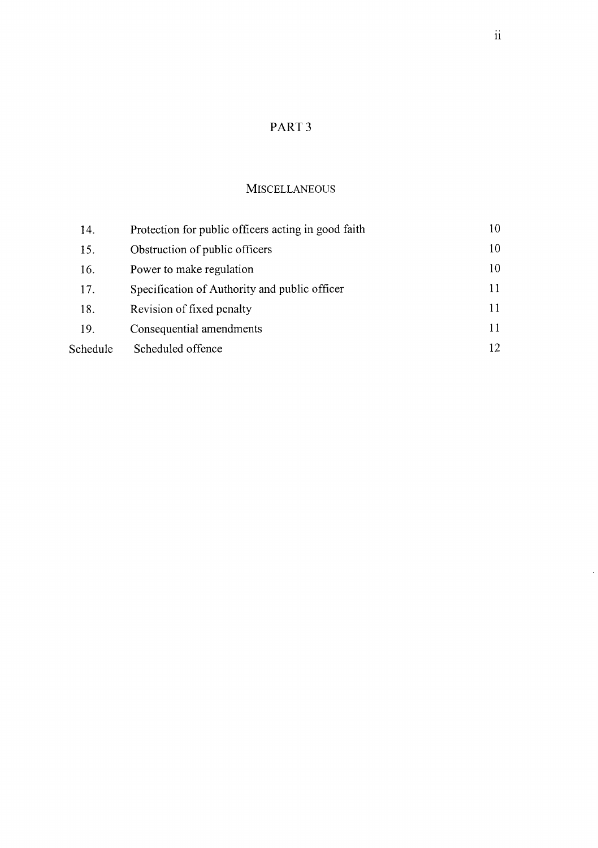# PART<sub>3</sub>

### **MISCELLANEOUS**

| 14.      | Protection for public officers acting in good faith | 10  |
|----------|-----------------------------------------------------|-----|
| 15.      | Obstruction of public officers                      | 10  |
| 16.      | Power to make regulation                            | 10  |
| 17.      | Specification of Authority and public officer       | 11  |
| 18.      | Revision of fixed penalty                           | 11  |
| 19.      | Consequential amendments                            | 11  |
| Schedule | Scheduled offence                                   | 12. |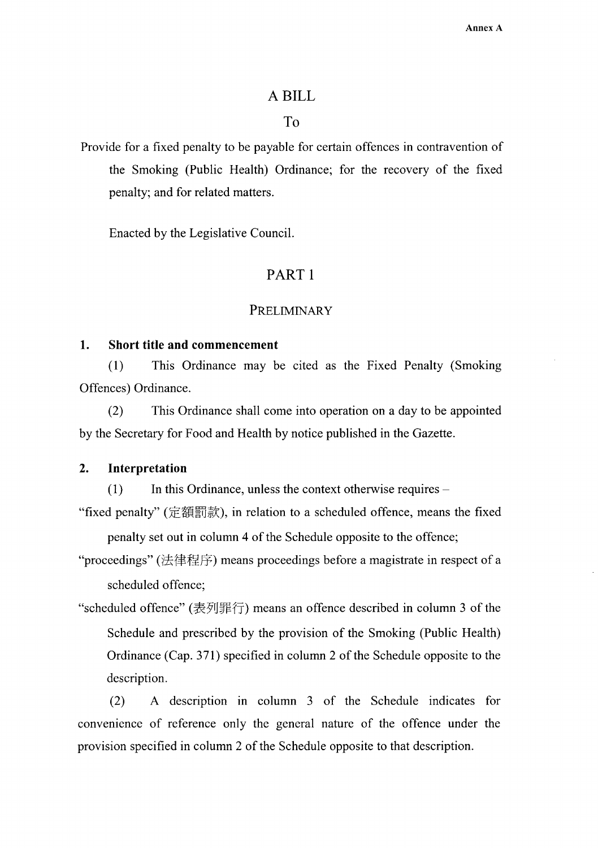#### A BILL

## To

Provide for a fixed penalty to be payable for certain offences in contravention of the Smoking (Public Health) Ordinance; for the recovery of the fixed penalty; and for related matters.

Enacted by the Legislative Council.

### PART<sub>1</sub>

#### PRELIMINARY

#### 1. **Short title and commencement**

This Ordinance may be cited as the Fixed Penalty (Smoking  $(1)$ Offences) Ordinance.

This Ordinance shall come into operation on a day to be appointed  $(2)$ by the Secretary for Food and Health by notice published in the Gazette.

#### $2.$ Interpretation

 $(1)$ In this Ordinance, unless the context otherwise requires –

"fixed penalty" (定額罰款), in relation to a scheduled offence, means the fixed penalty set out in column 4 of the Schedule opposite to the offence;

"proceedings" (法律程序) means proceedings before a magistrate in respect of a scheduled offence;

"scheduled offence" (表列罪行) means an offence described in column 3 of the Schedule and prescribed by the provision of the Smoking (Public Health) Ordinance (Cap. 371) specified in column 2 of the Schedule opposite to the description.

A description in column 3 of the Schedule indicates for  $(2)$ convenience of reference only the general nature of the offence under the provision specified in column 2 of the Schedule opposite to that description.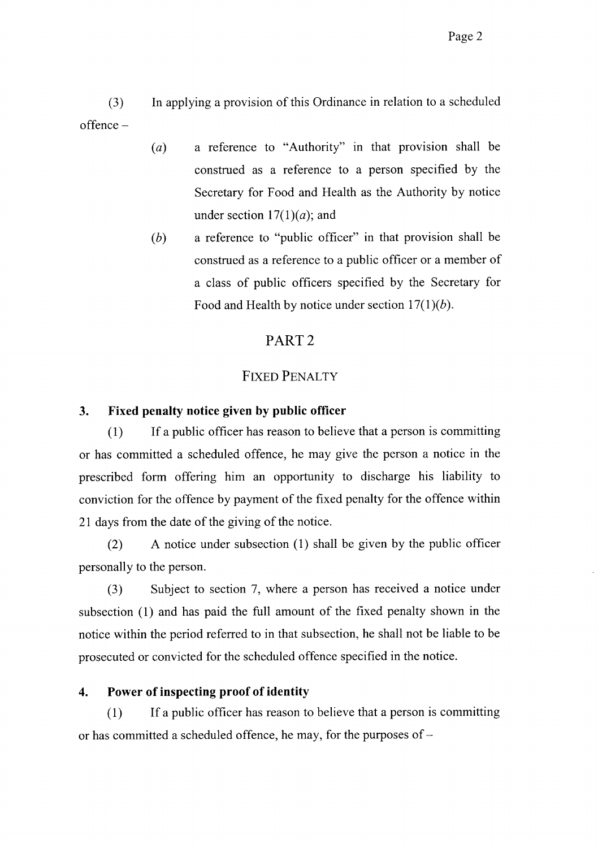$(3)$ In applying a provision of this Ordinance in relation to a scheduled  $offence -$ 

- a reference to "Authority" in that provision shall be  $(a)$ construed as a reference to a person specified by the Secretary for Food and Health as the Authority by notice under section  $17(1)(a)$ ; and
- a reference to "public officer" in that provision shall be  $(b)$ construed as a reference to a public officer or a member of a class of public officers specified by the Secretary for Food and Health by notice under section  $17(1)(b)$ .

# PART<sub>2</sub>

# **FIXED PENALTY**

#### $\overline{3}$ . Fixed penalty notice given by public officer

If a public officer has reason to believe that a person is committing  $(1)$ or has committed a scheduled offence, he may give the person a notice in the prescribed form offering him an opportunity to discharge his liability to conviction for the offence by payment of the fixed penalty for the offence within 21 days from the date of the giving of the notice.

 $(2)$ A notice under subsection (1) shall be given by the public officer personally to the person.

Subject to section 7, where a person has received a notice under  $(3)$ subsection (1) and has paid the full amount of the fixed penalty shown in the notice within the period referred to in that subsection, he shall not be liable to be prosecuted or convicted for the scheduled offence specified in the notice.

#### Power of inspecting proof of identity  $\boldsymbol{4}$ .

 $(1)$ If a public officer has reason to believe that a person is committing or has committed a scheduled offence, he may, for the purposes of –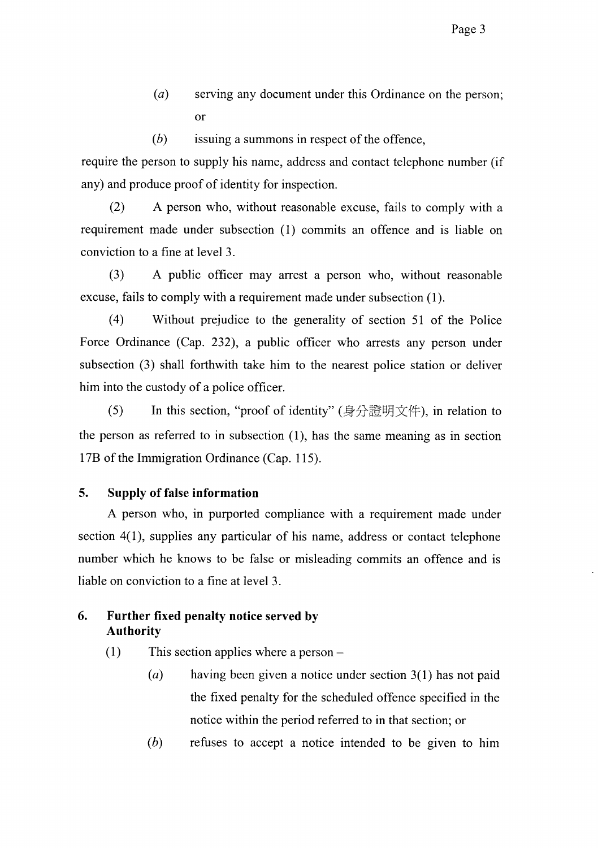- $(a)$ serving any document under this Ordinance on the person; <sub>or</sub>
- $(b)$ issuing a summons in respect of the offence,

require the person to supply his name, address and contact telephone number (if any) and produce proof of identity for inspection.

 $(2)$ A person who, without reasonable excuse, fails to comply with a requirement made under subsection (1) commits an offence and is liable on conviction to a fine at level 3.

 $(3)$ A public officer may arrest a person who, without reasonable excuse, fails to comply with a requirement made under subsection (1).

 $(4)$ Without prejudice to the generality of section 51 of the Police Force Ordinance (Cap. 232), a public officer who arrests any person under subsection (3) shall forthwith take him to the nearest police station or deliver him into the custody of a police officer.

 $(5)$ In this section, "proof of identity" (身分證明文件), in relation to the person as referred to in subsection  $(1)$ , has the same meaning as in section 17B of the Immigration Ordinance (Cap. 115).

#### 5. **Supply of false information**

A person who, in purported compliance with a requirement made under section  $4(1)$ , supplies any particular of his name, address or contact telephone number which he knows to be false or misleading commits an offence and is liable on conviction to a fine at level 3.

#### 6. Further fixed penalty notice served by **Authority**

 $(1)$ This section applies where a person  $-$ 

- $(a)$ having been given a notice under section  $3(1)$  has not paid the fixed penalty for the scheduled offence specified in the notice within the period referred to in that section; or
- $(b)$ refuses to accept a notice intended to be given to him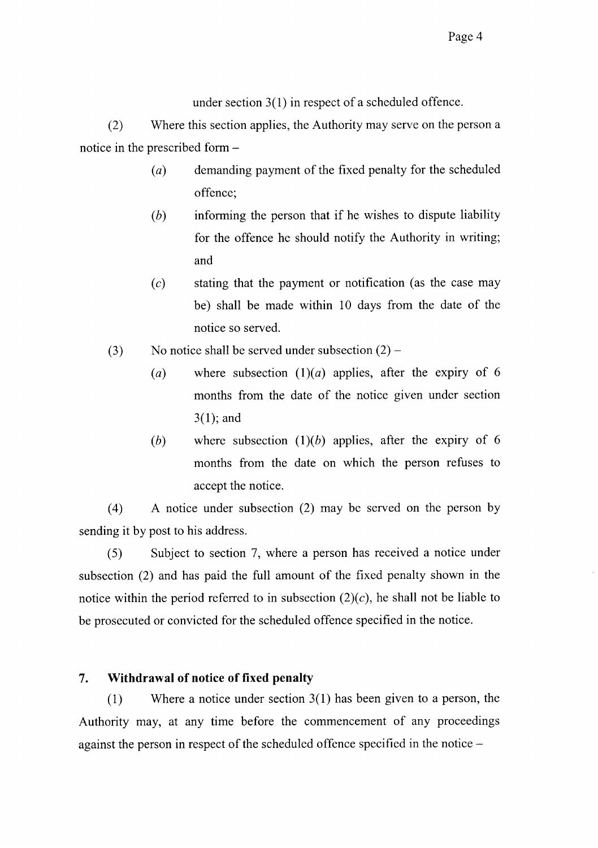under section  $3(1)$  in respect of a scheduled offence.

 $(2)$ Where this section applies, the Authority may serve on the person a notice in the prescribed form -

- $(a)$ demanding payment of the fixed penalty for the scheduled offence;
- $(b)$ informing the person that if he wishes to dispute liability for the offence he should notify the Authority in writing; and
- stating that the payment or notification (as the case may  $(c)$ be) shall be made within 10 days from the date of the notice so served.
- No notice shall be served under subsection  $(2)$   $(3)$ 
	- where subsection  $(1)(a)$  applies, after the expiry of 6  $(a)$ months from the date of the notice given under section  $3(1)$ ; and
	- where subsection  $(1)(b)$  applies, after the expiry of 6  $(b)$ months from the date on which the person refuses to accept the notice.

A notice under subsection (2) may be served on the person by  $(4)$ sending it by post to his address.

Subject to section 7, where a person has received a notice under  $(5)$ subsection (2) and has paid the full amount of the fixed penalty shown in the notice within the period referred to in subsection  $(2)(c)$ , he shall not be liable to be prosecuted or convicted for the scheduled offence specified in the notice.

#### $7.$ Withdrawal of notice of fixed penalty

Where a notice under section  $3(1)$  has been given to a person, the  $(1)$ Authority may, at any time before the commencement of any proceedings against the person in respect of the scheduled offence specified in the notice –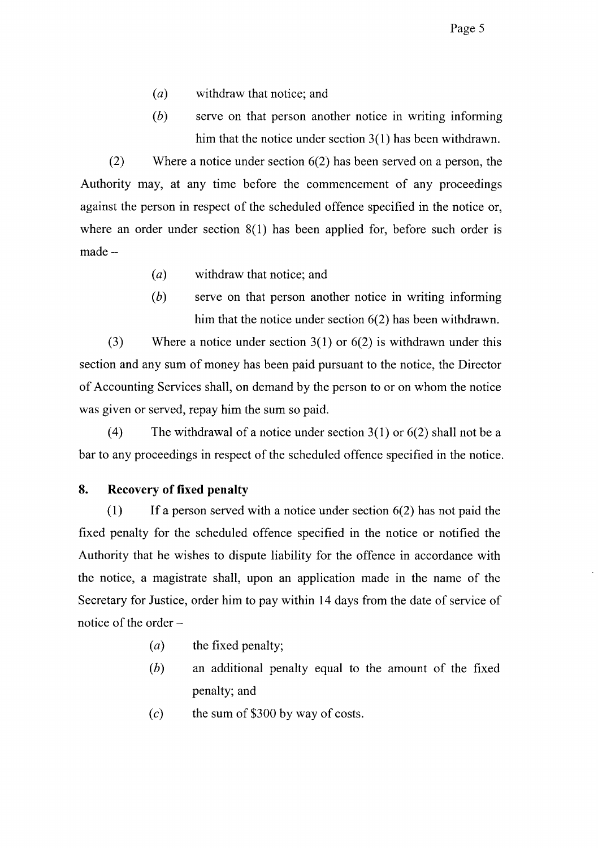- $(a)$ withdraw that notice; and
- $(b)$ serve on that person another notice in writing informing him that the notice under section  $3(1)$  has been withdrawn.

 $(2)$ Where a notice under section  $6(2)$  has been served on a person, the Authority may, at any time before the commencement of any proceedings against the person in respect of the scheduled offence specified in the notice or, where an order under section  $8(1)$  has been applied for, before such order is  $made -$ 

- $(a)$ withdraw that notice; and
- $(b)$ serve on that person another notice in writing informing him that the notice under section  $6(2)$  has been withdrawn.

 $(3)$ Where a notice under section  $3(1)$  or  $6(2)$  is withdrawn under this section and any sum of money has been paid pursuant to the notice, the Director of Accounting Services shall, on demand by the person to or on whom the notice was given or served, repay him the sum so paid.

 $(4)$ The withdrawal of a notice under section  $3(1)$  or  $6(2)$  shall not be a bar to any proceedings in respect of the scheduled offence specified in the notice.

#### 8. **Recovery of fixed penalty**

 $(1)$ If a person served with a notice under section  $6(2)$  has not paid the fixed penalty for the scheduled offence specified in the notice or notified the Authority that he wishes to dispute liability for the offence in accordance with the notice, a magistrate shall, upon an application made in the name of the Secretary for Justice, order him to pay within 14 days from the date of service of notice of the order –

- the fixed penalty;  $(a)$
- (b) an additional penalty equal to the amount of the fixed penalty; and
- the sum of \$300 by way of costs.  $(c)$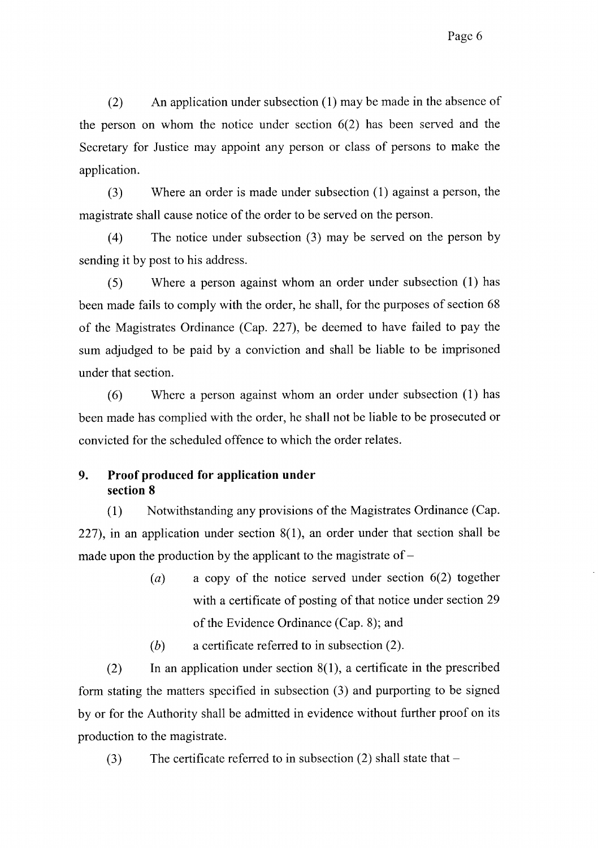$(2)$ An application under subsection (1) may be made in the absence of the person on whom the notice under section  $6(2)$  has been served and the Secretary for Justice may appoint any person or class of persons to make the application.

 $(3)$ Where an order is made under subsection (1) against a person, the magistrate shall cause notice of the order to be served on the person.

The notice under subsection (3) may be served on the person by  $(4)$ sending it by post to his address.

Where a person against whom an order under subsection (1) has  $(5)$ been made fails to comply with the order, he shall, for the purposes of section 68 of the Magistrates Ordinance (Cap. 227), be deemed to have failed to pay the sum adjudged to be paid by a conviction and shall be liable to be imprisoned under that section.

 $(6)$ Where a person against whom an order under subsection (1) has been made has complied with the order, he shall not be liable to be prosecuted or convicted for the scheduled offence to which the order relates.

#### 9. Proof produced for application under section 8

Notwithstanding any provisions of the Magistrates Ordinance (Cap.  $(1)$ 227), in an application under section  $8(1)$ , an order under that section shall be made upon the production by the applicant to the magistrate of  $-$ 

> $(a)$ a copy of the notice served under section  $6(2)$  together with a certificate of posting of that notice under section 29 of the Evidence Ordinance (Cap. 8); and

 $(b)$ a certificate referred to in subsection (2).

In an application under section  $8(1)$ , a certificate in the prescribed  $(2)$ form stating the matters specified in subsection (3) and purporting to be signed by or for the Authority shall be admitted in evidence without further proof on its production to the magistrate.

The certificate referred to in subsection  $(2)$  shall state that –  $(3)$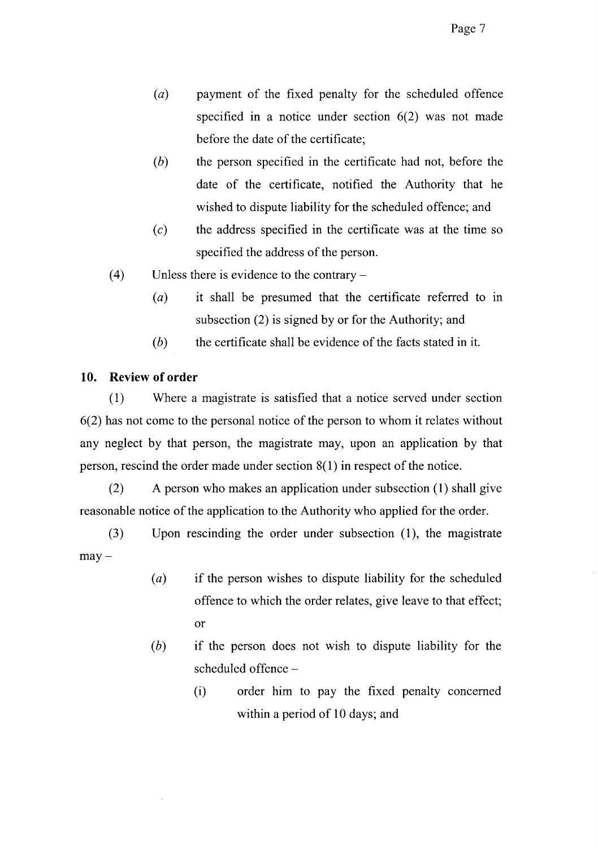- payment of the fixed penalty for the scheduled offence  $(a)$ specified in a notice under section  $6(2)$  was not made before the date of the certificate:
- $(b)$ the person specified in the certificate had not, before the date of the certificate, notified the Authority that he wished to dispute liability for the scheduled offence; and
- $(c)$ the address specified in the certificate was at the time so specified the address of the person.
- $(4)$ Unless there is evidence to the contrary  $-$ 
	- $(a)$ it shall be presumed that the certificate referred to in subsection (2) is signed by or for the Authority; and
	- $(b)$ the certificate shall be evidence of the facts stated in it.

#### $10.$ **Review of order**

Where a magistrate is satisfied that a notice served under section  $(1)$  $6(2)$  has not come to the personal notice of the person to whom it relates without any neglect by that person, the magistrate may, upon an application by that person, rescind the order made under section  $8(1)$  in respect of the notice.

 $(2)$ A person who makes an application under subsection (1) shall give reasonable notice of the application to the Authority who applied for the order.

Upon rescinding the order under subsection (1), the magistrate  $(3)$  $may -$ 

- $(a)$ if the person wishes to dispute liability for the scheduled offence to which the order relates, give leave to that effect; <sub>or</sub>
- $(b)$ if the person does not wish to dispute liability for the scheduled offence-
	- $(i)$ order him to pay the fixed penalty concerned within a period of 10 days; and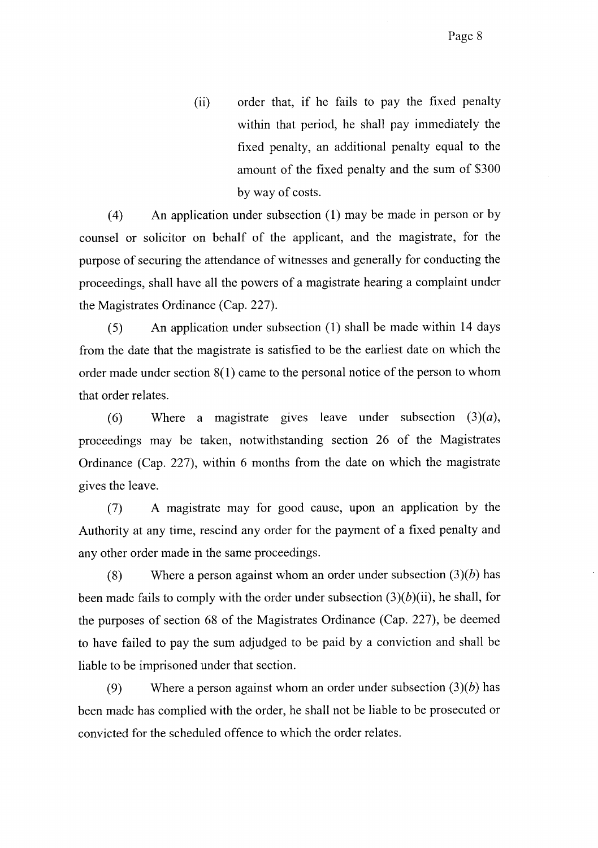order that, if he fails to pay the fixed penalty  $(ii)$ within that period, he shall pay immediately the fixed penalty, an additional penalty equal to the amount of the fixed penalty and the sum of \$300 by way of costs.

 $(4)$ An application under subsection (1) may be made in person or by counsel or solicitor on behalf of the applicant, and the magistrate, for the purpose of securing the attendance of witnesses and generally for conducting the proceedings, shall have all the powers of a magistrate hearing a complaint under the Magistrates Ordinance (Cap. 227).

An application under subsection (1) shall be made within 14 days  $(5)$ from the date that the magistrate is satisfied to be the earliest date on which the order made under section  $8(1)$  came to the personal notice of the person to whom that order relates.

 $(6)$ Where a magistrate gives leave under subsection  $(3)(a)$ , proceedings may be taken, notwithstanding section 26 of the Magistrates Ordinance (Cap. 227), within 6 months from the date on which the magistrate gives the leave.

A magistrate may for good cause, upon an application by the  $(7)$ Authority at any time, rescind any order for the payment of a fixed penalty and any other order made in the same proceedings.

Where a person against whom an order under subsection  $(3)(b)$  has  $(8)$ been made fails to comply with the order under subsection  $(3)(b)(ii)$ , he shall, for the purposes of section 68 of the Magistrates Ordinance (Cap. 227), be deemed to have failed to pay the sum adjudged to be paid by a conviction and shall be liable to be imprisoned under that section.

 $(9)$ Where a person against whom an order under subsection  $(3)(b)$  has been made has complied with the order, he shall not be liable to be prosecuted or convicted for the scheduled offence to which the order relates.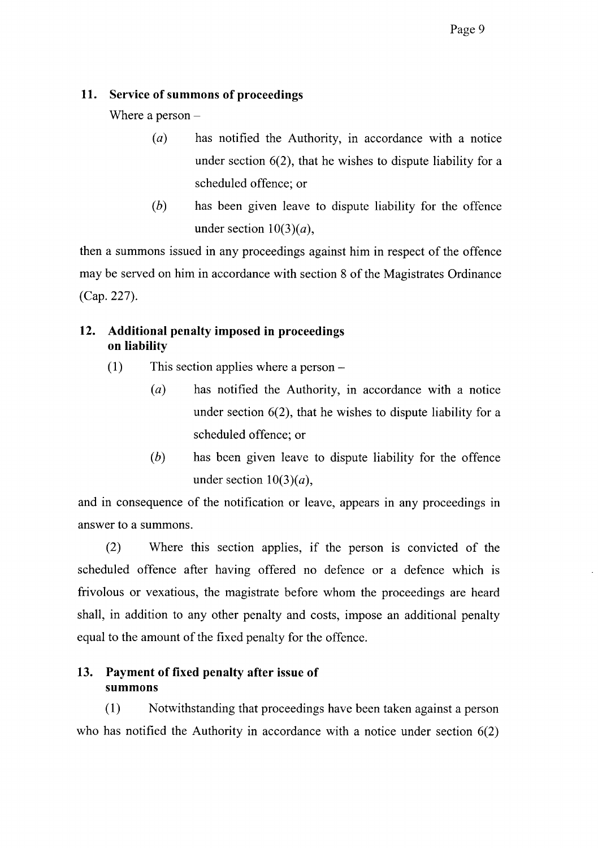#### 11. Service of summons of proceedings

Where a person  $-$ 

- $(a)$ has notified the Authority, in accordance with a notice under section  $6(2)$ , that he wishes to dispute liability for a scheduled offence: or
- $(b)$ has been given leave to dispute liability for the offence under section  $10(3)(a)$ ,

then a summons issued in any proceedings against him in respect of the offence may be served on him in accordance with section 8 of the Magistrates Ordinance  $(Cap. 227).$ 

#### $12.$ Additional penalty imposed in proceedings on liability

- $(1)$ This section applies where a person –
	- $(a)$ has notified the Authority, in accordance with a notice under section  $6(2)$ , that he wishes to dispute liability for a scheduled offence; or
	- $(b)$ has been given leave to dispute liability for the offence under section  $10(3)(a)$ ,

and in consequence of the notification or leave, appears in any proceedings in answer to a summons.

 $(2)$ Where this section applies, if the person is convicted of the scheduled offence after having offered no defence or a defence which is frivolous or vexatious, the magistrate before whom the proceedings are heard shall, in addition to any other penalty and costs, impose an additional penalty equal to the amount of the fixed penalty for the offence.

# 13. Payment of fixed penalty after issue of summons

 $(1)$ Notwithstanding that proceedings have been taken against a person who has notified the Authority in accordance with a notice under section  $6(2)$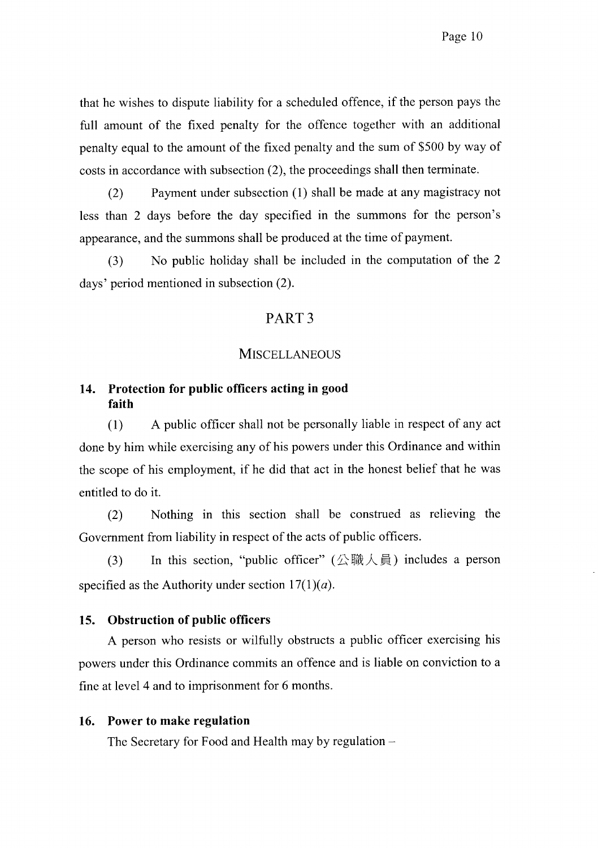that he wishes to dispute liability for a scheduled offence, if the person pays the full amount of the fixed penalty for the offence together with an additional penalty equal to the amount of the fixed penalty and the sum of \$500 by way of costs in accordance with subsection (2), the proceedings shall then terminate.

 $(2)$ Payment under subsection (1) shall be made at any magistracy not less than 2 days before the day specified in the summons for the person's appearance, and the summons shall be produced at the time of payment.

 $(3)$ No public holiday shall be included in the computation of the 2 days' period mentioned in subsection (2).

## PART<sub>3</sub>

### **MISCELLANEOUS**

#### 14. Protection for public officers acting in good faith

A public officer shall not be personally liable in respect of any act  $(1)$ done by him while exercising any of his powers under this Ordinance and within the scope of his employment, if he did that act in the honest belief that he was entitled to do it.

 $(2)$ Nothing in this section shall be construed as relieving the Government from liability in respect of the acts of public officers.

In this section, "public officer" ( $\triangle$ 職人員) includes a person  $(3)$ specified as the Authority under section  $17(1)(a)$ .

#### **Obstruction of public officers**  $15.$

A person who resists or wilfully obstructs a public officer exercising his powers under this Ordinance commits an offence and is liable on conviction to a fine at level 4 and to imprisonment for 6 months.

#### Power to make regulation 16.

The Secretary for Food and Health may by regulation -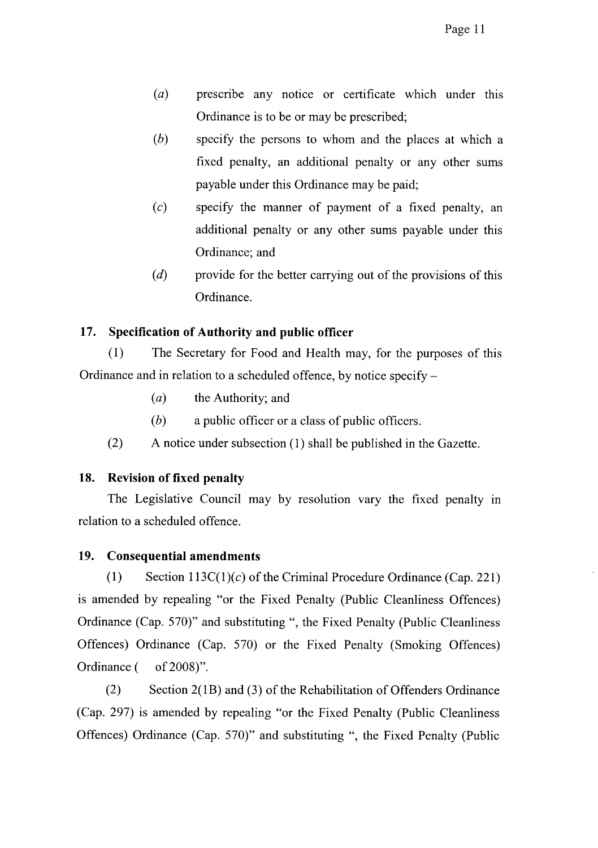- prescribe any notice or certificate which under this  $(a)$ Ordinance is to be or may be prescribed;
- $(b)$ specify the persons to whom and the places at which a fixed penalty, an additional penalty or any other sums payable under this Ordinance may be paid;
- $(c)$ specify the manner of payment of a fixed penalty, an additional penalty or any other sums payable under this Ordinance; and
- $(d)$ provide for the better carrying out of the provisions of this Ordinance.

#### Specification of Authority and public officer  $17.$

The Secretary for Food and Health may, for the purposes of this  $(1)$ Ordinance and in relation to a scheduled offence, by notice specify –

- $(a)$ the Authority; and
- $(b)$ a public officer or a class of public officers.
- $(2)$ A notice under subsection (1) shall be published in the Gazette.

#### **Revision of fixed penalty** 18.

The Legislative Council may by resolution vary the fixed penalty in relation to a scheduled offence.

#### 19. **Consequential amendments**

 $(1)$ Section  $113C(1)(c)$  of the Criminal Procedure Ordinance (Cap. 221) is amended by repealing "or the Fixed Penalty (Public Cleanliness Offences) Ordinance (Cap. 570)" and substituting ", the Fixed Penalty (Public Cleanliness Offences) Ordinance (Cap. 570) or the Fixed Penalty (Smoking Offences) Ordinance ( of 2008)".

 $(2)$ Section 2(1B) and (3) of the Rehabilitation of Offenders Ordinance (Cap. 297) is amended by repealing "or the Fixed Penalty (Public Cleanliness Offences) Ordinance (Cap. 570)" and substituting ", the Fixed Penalty (Public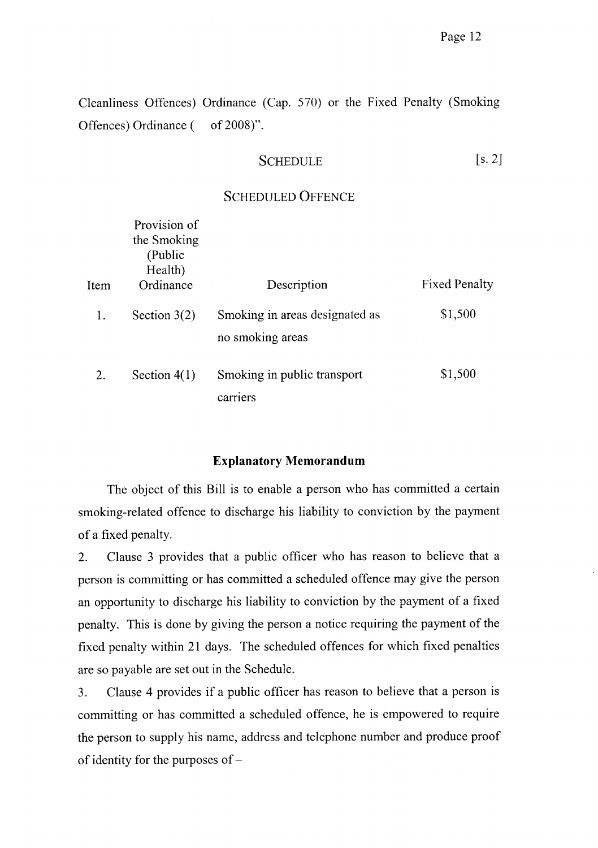Cleanliness Offences) Ordinance (Cap. 570) or the Fixed Penalty (Smoking Offences) Ordinance ( of 2008)".

#### $[s. 2]$ **SCHEDULE**

#### **SCHEDULED OFFENCE**

| Item | Provision of<br>the Smoking<br>(Public<br>Health)<br>Ordinance | Description                                        | <b>Fixed Penalty</b> |
|------|----------------------------------------------------------------|----------------------------------------------------|----------------------|
| 1.   | Section $3(2)$                                                 | Smoking in areas designated as<br>no smoking areas | \$1,500              |
| 2.   | Section $4(1)$                                                 | Smoking in public transport<br>carriers            | \$1,500              |

#### **Explanatory Memorandum**

The object of this Bill is to enable a person who has committed a certain smoking-related offence to discharge his liability to conviction by the payment of a fixed penalty.

Clause 3 provides that a public officer who has reason to believe that a 2. person is committing or has committed a scheduled offence may give the person an opportunity to discharge his liability to conviction by the payment of a fixed penalty. This is done by giving the person a notice requiring the payment of the fixed penalty within 21 days. The scheduled offences for which fixed penalties are so payable are set out in the Schedule.

Clause 4 provides if a public officer has reason to believe that a person is 3. committing or has committed a scheduled offence, he is empowered to require the person to supply his name, address and telephone number and produce proof of identity for the purposes of  $-$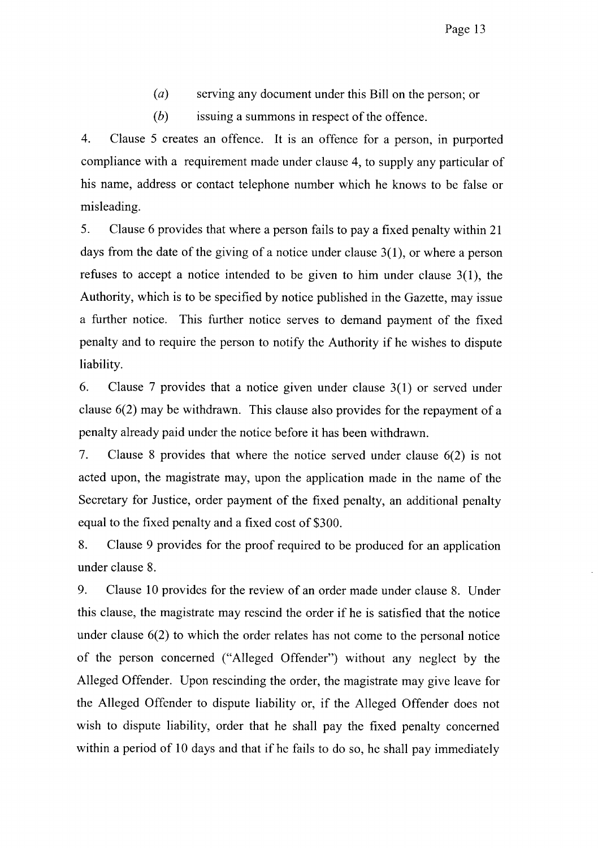- $(a)$ serving any document under this Bill on the person; or
- $(b)$ issuing a summons in respect of the offence.

 $\overline{4}$ . Clause 5 creates an offence. It is an offence for a person, in purported compliance with a requirement made under clause 4, to supply any particular of his name, address or contact telephone number which he knows to be false or misleading.

5. Clause 6 provides that where a person fails to pay a fixed penalty within 21 days from the date of the giving of a notice under clause  $3(1)$ , or where a person refuses to accept a notice intended to be given to him under clause  $3(1)$ , the Authority, which is to be specified by notice published in the Gazette, may issue a further notice. This further notice serves to demand payment of the fixed penalty and to require the person to notify the Authority if he wishes to dispute liability.

6. Clause 7 provides that a notice given under clause  $3(1)$  or served under clause  $6(2)$  may be withdrawn. This clause also provides for the repayment of a penalty already paid under the notice before it has been withdrawn.

 $7.$ Clause 8 provides that where the notice served under clause  $6(2)$  is not acted upon, the magistrate may, upon the application made in the name of the Secretary for Justice, order payment of the fixed penalty, an additional penalty equal to the fixed penalty and a fixed cost of \$300.

8. Clause 9 provides for the proof required to be produced for an application under clause 8.

9. Clause 10 provides for the review of an order made under clause 8. Under this clause, the magistrate may rescind the order if he is satisfied that the notice under clause  $6(2)$  to which the order relates has not come to the personal notice of the person concerned ("Alleged Offender") without any neglect by the Alleged Offender. Upon rescinding the order, the magistrate may give leave for the Alleged Offender to dispute liability or, if the Alleged Offender does not wish to dispute liability, order that he shall pay the fixed penalty concerned within a period of 10 days and that if he fails to do so, he shall pay immediately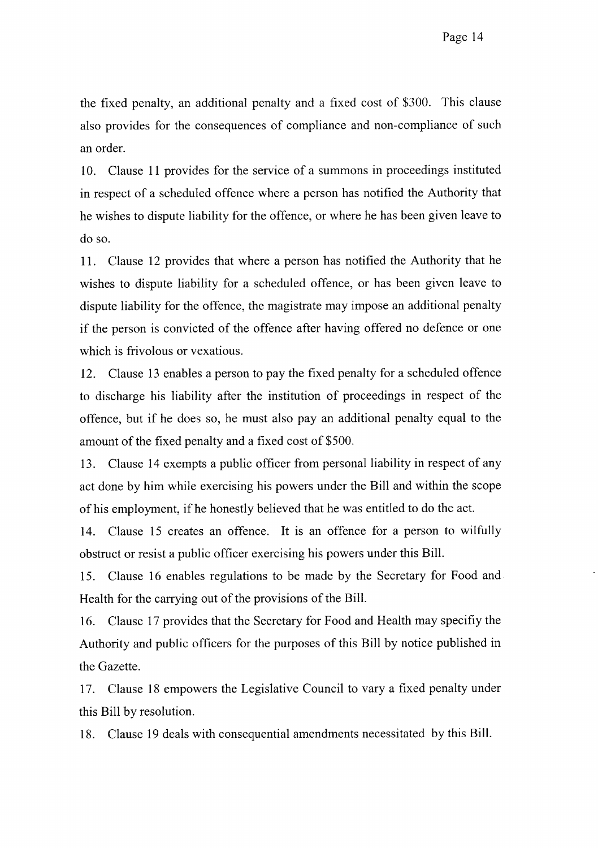the fixed penalty, an additional penalty and a fixed cost of \$300. This clause also provides for the consequences of compliance and non-compliance of such an order.

10. Clause 11 provides for the service of a summons in proceedings instituted in respect of a scheduled offence where a person has notified the Authority that he wishes to dispute liability for the offence, or where he has been given leave to do so.

11. Clause 12 provides that where a person has notified the Authority that he wishes to dispute liability for a scheduled offence, or has been given leave to dispute liability for the offence, the magistrate may impose an additional penalty if the person is convicted of the offence after having offered no defence or one which is frivolous or vexatious.

12. Clause 13 enables a person to pay the fixed penalty for a scheduled offence to discharge his liability after the institution of proceedings in respect of the offence, but if he does so, he must also pay an additional penalty equal to the amount of the fixed penalty and a fixed cost of \$500.

Clause 14 exempts a public officer from personal liability in respect of any 13. act done by him while exercising his powers under the Bill and within the scope of his employment, if he honestly believed that he was entitled to do the act.

Clause 15 creates an offence. It is an offence for a person to wilfully 14. obstruct or resist a public officer exercising his powers under this Bill.

Clause 16 enables regulations to be made by the Secretary for Food and 15. Health for the carrying out of the provisions of the Bill.

Clause 17 provides that the Secretary for Food and Health may specify the 16. Authority and public officers for the purposes of this Bill by notice published in the Gazette.

Clause 18 empowers the Legislative Council to vary a fixed penalty under 17. this Bill by resolution.

Clause 19 deals with consequential amendments necessitated by this Bill. 18.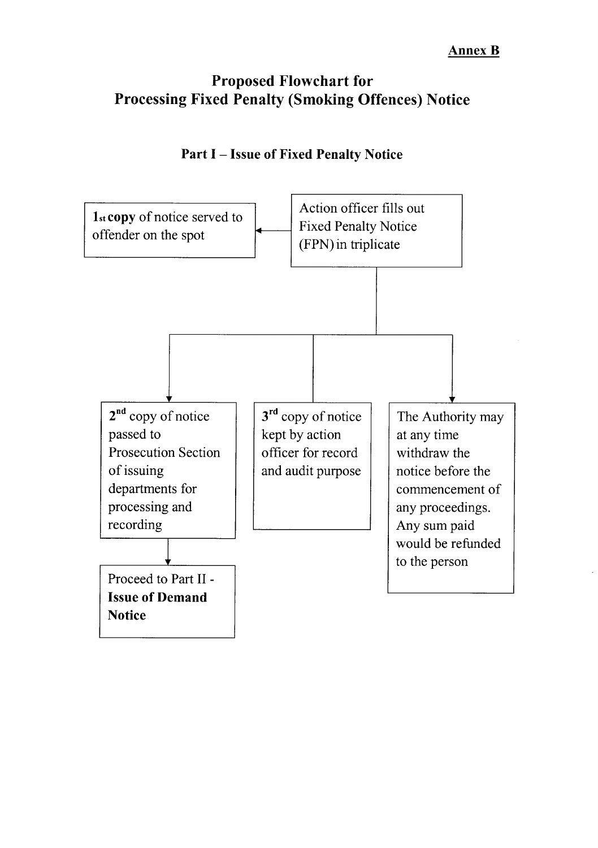# **Proposed Flowchart for Processing Fixed Penalty (Smoking Offences) Notice**



# **Part I - Issue of Fixed Penalty Notice**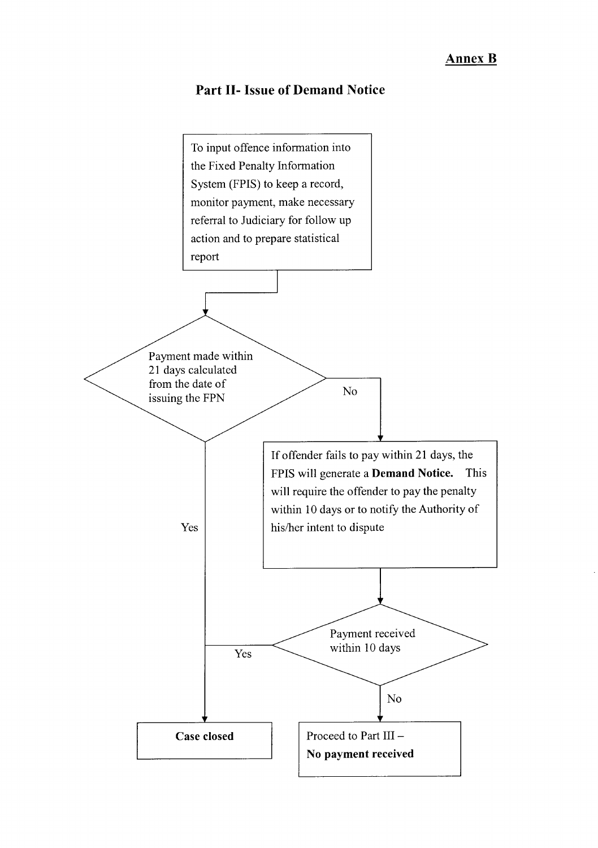## **Part II- Issue of Demand Notice**

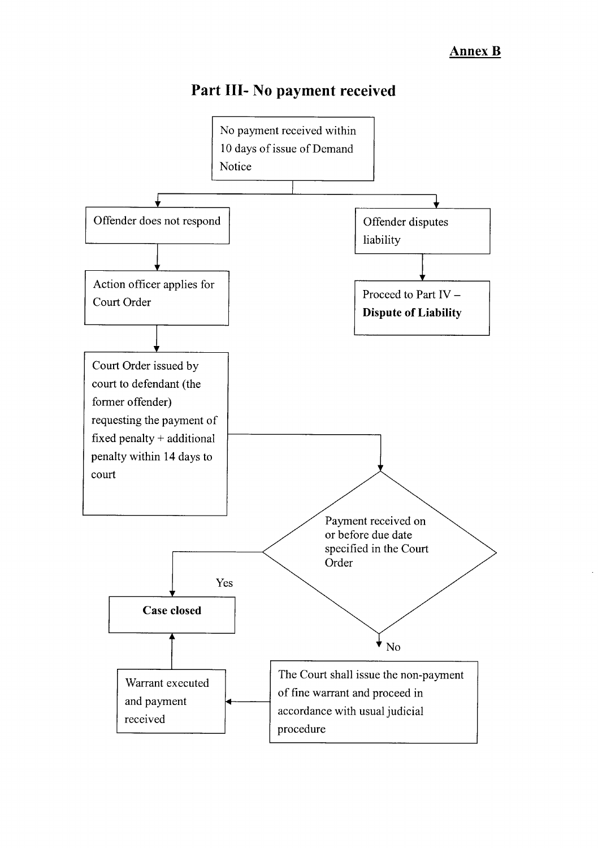# Part III- No payment received